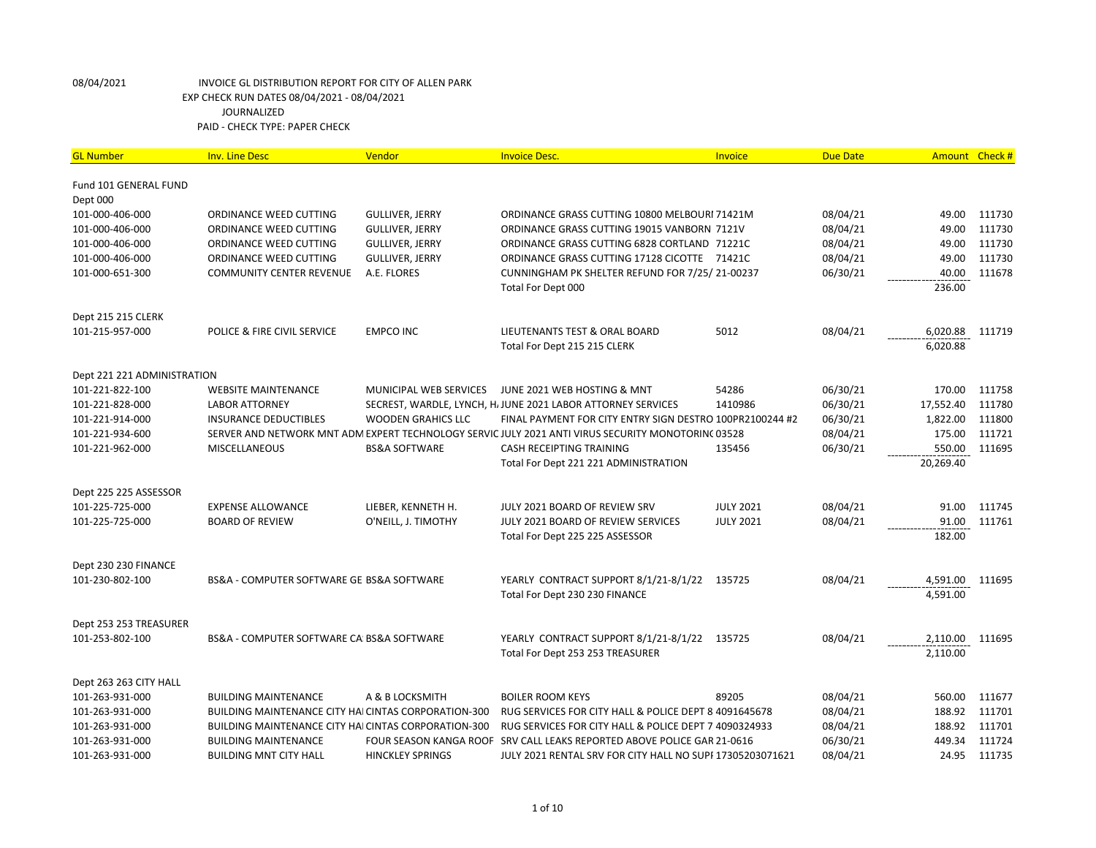| <b>GL Number</b>            | <b>Inv. Line Desc</b>                                | Vendor                    | <b>Invoice Desc.</b>                                                                               | Invoice          | <b>Due Date</b> |           | Amount Check # |
|-----------------------------|------------------------------------------------------|---------------------------|----------------------------------------------------------------------------------------------------|------------------|-----------------|-----------|----------------|
| Fund 101 GENERAL FUND       |                                                      |                           |                                                                                                    |                  |                 |           |                |
| Dept 000                    |                                                      |                           |                                                                                                    |                  |                 |           |                |
| 101-000-406-000             | ORDINANCE WEED CUTTING                               | GULLIVER, JERRY           | ORDINANCE GRASS CUTTING 10800 MELBOURI 71421M                                                      |                  | 08/04/21        | 49.00     | 111730         |
| 101-000-406-000             | ORDINANCE WEED CUTTING                               | <b>GULLIVER, JERRY</b>    | ORDINANCE GRASS CUTTING 19015 VANBORN 7121V                                                        |                  | 08/04/21        | 49.00     | 111730         |
| 101-000-406-000             | ORDINANCE WEED CUTTING                               | GULLIVER, JERRY           | ORDINANCE GRASS CUTTING 6828 CORTLAND 71221C                                                       |                  | 08/04/21        | 49.00     | 111730         |
| 101-000-406-000             | ORDINANCE WEED CUTTING                               | <b>GULLIVER, JERRY</b>    | ORDINANCE GRASS CUTTING 17128 CICOTTE 71421C                                                       |                  | 08/04/21        | 49.00     | 111730         |
| 101-000-651-300             | <b>COMMUNITY CENTER REVENUE</b>                      | A.E. FLORES               | CUNNINGHAM PK SHELTER REFUND FOR 7/25/21-00237                                                     |                  | 06/30/21        | 40.00     | 111678         |
|                             |                                                      |                           | Total For Dept 000                                                                                 |                  |                 | 236.00    |                |
| Dept 215 215 CLERK          |                                                      |                           |                                                                                                    |                  |                 |           |                |
| 101-215-957-000             | POLICE & FIRE CIVIL SERVICE                          | <b>EMPCO INC</b>          | LIEUTENANTS TEST & ORAL BOARD                                                                      | 5012             | 08/04/21        | 6,020.88  | 111719         |
|                             |                                                      |                           | Total For Dept 215 215 CLERK                                                                       |                  |                 | 6,020.88  |                |
| Dept 221 221 ADMINISTRATION |                                                      |                           |                                                                                                    |                  |                 |           |                |
| 101-221-822-100             | <b>WEBSITE MAINTENANCE</b>                           | MUNICIPAL WEB SERVICES    | JUNE 2021 WEB HOSTING & MNT                                                                        | 54286            | 06/30/21        | 170.00    | 111758         |
| 101-221-828-000             | <b>LABOR ATTORNEY</b>                                |                           | SECREST, WARDLE, LYNCH, HJ JUNE 2021 LABOR ATTORNEY SERVICES                                       | 1410986          | 06/30/21        | 17,552.40 | 111780         |
| 101-221-914-000             | <b>INSURANCE DEDUCTIBLES</b>                         | <b>WOODEN GRAHICS LLC</b> | FINAL PAYMENT FOR CITY ENTRY SIGN DESTRO 100PR2100244 #2                                           |                  | 06/30/21        | 1,822.00  | 111800         |
| 101-221-934-600             |                                                      |                           | SERVER AND NETWORK MNT ADM EXPERT TECHNOLOGY SERVIC JULY 2021 ANTI VIRUS SECURITY MONOTORINC 03528 |                  | 08/04/21        | 175.00    | 111721         |
| 101-221-962-000             | MISCELLANEOUS                                        | <b>BS&amp;A SOFTWARE</b>  | CASH RECEIPTING TRAINING                                                                           | 135456           | 06/30/21        | 550.00    | 111695         |
|                             |                                                      |                           | Total For Dept 221 221 ADMINISTRATION                                                              |                  |                 | 20,269.40 |                |
| Dept 225 225 ASSESSOR       |                                                      |                           |                                                                                                    |                  |                 |           |                |
| 101-225-725-000             | <b>EXPENSE ALLOWANCE</b>                             | LIEBER, KENNETH H.        | JULY 2021 BOARD OF REVIEW SRV                                                                      | <b>JULY 2021</b> | 08/04/21        | 91.00     | 111745         |
| 101-225-725-000             | <b>BOARD OF REVIEW</b>                               | O'NEILL, J. TIMOTHY       | JULY 2021 BOARD OF REVIEW SERVICES                                                                 | <b>JULY 2021</b> | 08/04/21        | 91.00     | 111761         |
|                             |                                                      |                           | Total For Dept 225 225 ASSESSOR                                                                    |                  |                 | 182.00    |                |
| Dept 230 230 FINANCE        |                                                      |                           |                                                                                                    |                  |                 |           |                |
| 101-230-802-100             | BS&A - COMPUTER SOFTWARE GE BS&A SOFTWARE            |                           | YEARLY CONTRACT SUPPORT 8/1/21-8/1/22                                                              | 135725           | 08/04/21        | 4,591.00  | 111695         |
|                             |                                                      |                           | Total For Dept 230 230 FINANCE                                                                     |                  |                 | 4,591.00  |                |
| Dept 253 253 TREASURER      |                                                      |                           |                                                                                                    |                  |                 |           |                |
| 101-253-802-100             | BS&A - COMPUTER SOFTWARE CA BS&A SOFTWARE            |                           | YEARLY CONTRACT SUPPORT 8/1/21-8/1/22                                                              | 135725           | 08/04/21        | 2,110.00  | 111695         |
|                             |                                                      |                           | Total For Dept 253 253 TREASURER                                                                   |                  |                 | 2,110.00  |                |
| Dept 263 263 CITY HALL      |                                                      |                           |                                                                                                    |                  |                 |           |                |
| 101-263-931-000             | <b>BUILDING MAINTENANCE</b>                          | A & B LOCKSMITH           | <b>BOILER ROOM KEYS</b>                                                                            | 89205            | 08/04/21        | 560.00    | 111677         |
| 101-263-931-000             | BUILDING MAINTENANCE CITY HAI CINTAS CORPORATION-300 |                           | RUG SERVICES FOR CITY HALL & POLICE DEPT 8 4091645678                                              |                  | 08/04/21        | 188.92    | 111701         |
| 101-263-931-000             | BUILDING MAINTENANCE CITY HAI CINTAS CORPORATION-300 |                           | RUG SERVICES FOR CITY HALL & POLICE DEPT 7 4090324933                                              |                  | 08/04/21        | 188.92    | 111701         |
| 101-263-931-000             | <b>BUILDING MAINTENANCE</b>                          |                           | FOUR SEASON KANGA ROOF SRV CALL LEAKS REPORTED ABOVE POLICE GAR 21-0616                            |                  | 06/30/21        | 449.34    | 111724         |
| 101-263-931-000             | <b>BUILDING MNT CITY HALL</b>                        | <b>HINCKLEY SPRINGS</b>   | JULY 2021 RENTAL SRV FOR CITY HALL NO SUPF 17305203071621                                          |                  | 08/04/21        | 24.95     | 111735         |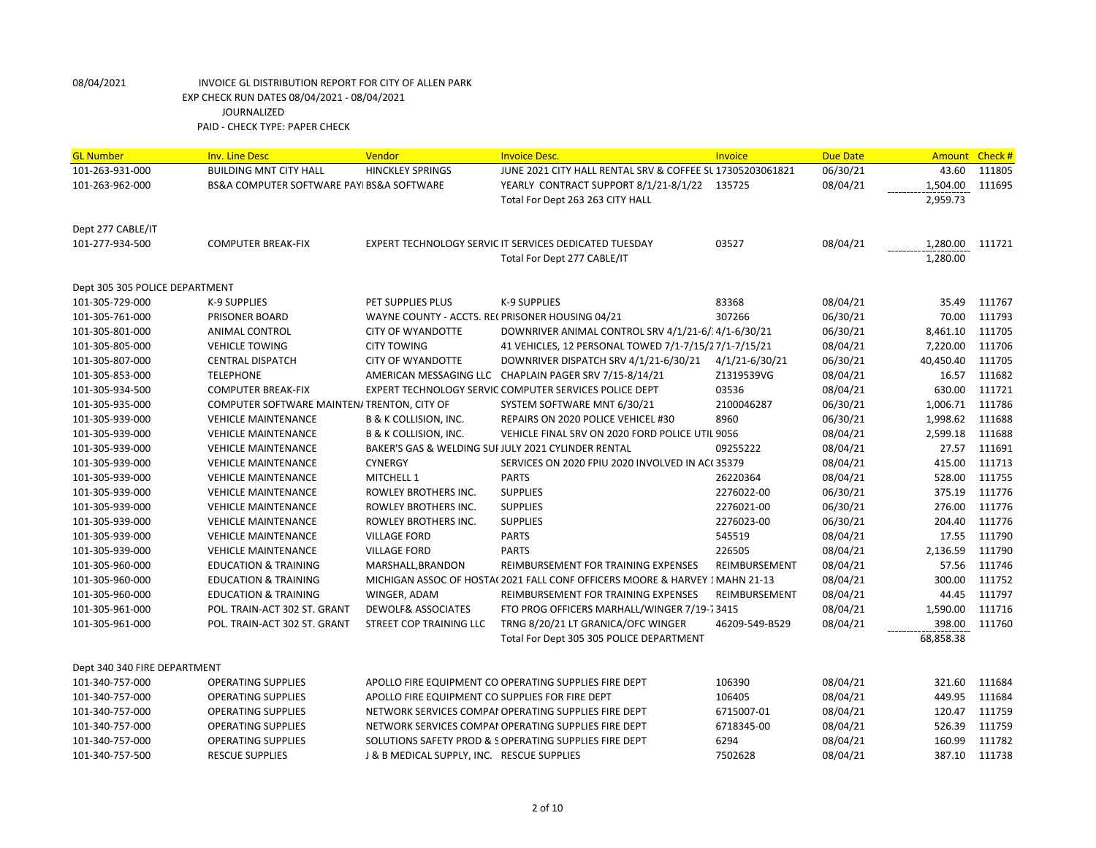| <b>GL Number</b>               | <b>Inv. Line Desc</b>                       | Vendor                                          | <b>Invoice Desc.</b>                                                        | Invoice        | <b>Due Date</b> | <b>Amount</b> | Check# |
|--------------------------------|---------------------------------------------|-------------------------------------------------|-----------------------------------------------------------------------------|----------------|-----------------|---------------|--------|
| 101-263-931-000                | <b>BUILDING MNT CITY HALL</b>               | <b>HINCKLEY SPRINGS</b>                         | JUNE 2021 CITY HALL RENTAL SRV & COFFEE SL 17305203061821                   |                | 06/30/21        | 43.60         | 111805 |
| 101-263-962-000                | BS&A COMPUTER SOFTWARE PAYI BS&A SOFTWARE   |                                                 | YEARLY CONTRACT SUPPORT 8/1/21-8/1/22 135725                                |                | 08/04/21        | 1,504.00      | 111695 |
|                                |                                             |                                                 | Total For Dept 263 263 CITY HALL                                            |                |                 | 2,959.73      |        |
|                                |                                             |                                                 |                                                                             |                |                 |               |        |
| Dept 277 CABLE/IT              |                                             |                                                 |                                                                             |                |                 |               |        |
| 101-277-934-500                | <b>COMPUTER BREAK-FIX</b>                   |                                                 | EXPERT TECHNOLOGY SERVIC IT SERVICES DEDICATED TUESDAY                      | 03527          | 08/04/21        | 1,280.00      | 111721 |
|                                |                                             |                                                 | Total For Dept 277 CABLE/IT                                                 |                |                 | 1,280.00      |        |
| Dept 305 305 POLICE DEPARTMENT |                                             |                                                 |                                                                             |                |                 |               |        |
| 101-305-729-000                | K-9 SUPPLIES                                | PET SUPPLIES PLUS                               | K-9 SUPPLIES                                                                | 83368          | 08/04/21        | 35.49         | 111767 |
| 101-305-761-000                | <b>PRISONER BOARD</b>                       | WAYNE COUNTY - ACCTS. RECPRISONER HOUSING 04/21 |                                                                             | 307266         | 06/30/21        | 70.00         | 111793 |
| 101-305-801-000                | <b>ANIMAL CONTROL</b>                       | <b>CITY OF WYANDOTTE</b>                        | DOWNRIVER ANIMAL CONTROL SRV 4/1/21-6/34/1-6/30/21                          |                | 06/30/21        | 8,461.10      | 111705 |
| 101-305-805-000                | <b>VEHICLE TOWING</b>                       | <b>CITY TOWING</b>                              | 41 VEHICLES, 12 PERSONAL TOWED 7/1-7/15/27/1-7/15/21                        |                | 08/04/21        | 7,220.00      | 111706 |
| 101-305-807-000                | <b>CENTRAL DISPATCH</b>                     | <b>CITY OF WYANDOTTE</b>                        | DOWNRIVER DISPATCH SRV 4/1/21-6/30/21                                       | 4/1/21-6/30/21 | 06/30/21        | 40,450.40     | 111705 |
| 101-305-853-000                | <b>TELEPHONE</b>                            |                                                 | AMERICAN MESSAGING LLC CHAPLAIN PAGER SRV 7/15-8/14/21                      | Z1319539VG     | 08/04/21        | 16.57         | 111682 |
| 101-305-934-500                | <b>COMPUTER BREAK-FIX</b>                   |                                                 | EXPERT TECHNOLOGY SERVIC COMPUTER SERVICES POLICE DEPT                      | 03536          | 08/04/21        | 630.00        | 111721 |
| 101-305-935-000                | COMPUTER SOFTWARE MAINTEN/ TRENTON, CITY OF |                                                 | SYSTEM SOFTWARE MNT 6/30/21                                                 | 2100046287     | 06/30/21        | 1,006.71      | 111786 |
| 101-305-939-000                | <b>VEHICLE MAINTENANCE</b>                  | <b>B &amp; K COLLISION, INC.</b>                | REPAIRS ON 2020 POLICE VEHICEL #30                                          | 8960           | 06/30/21        | 1,998.62      | 111688 |
| 101-305-939-000                | <b>VEHICLE MAINTENANCE</b>                  | <b>B &amp; K COLLISION, INC.</b>                | VEHICLE FINAL SRV ON 2020 FORD POLICE UTIL 9056                             |                | 08/04/21        | 2,599.18      | 111688 |
| 101-305-939-000                | <b>VEHICLE MAINTENANCE</b>                  |                                                 | BAKER'S GAS & WELDING SUI JULY 2021 CYLINDER RENTAL                         | 09255222       | 08/04/21        | 27.57         | 111691 |
| 101-305-939-000                | <b>VEHICLE MAINTENANCE</b>                  | <b>CYNERGY</b>                                  | SERVICES ON 2020 FPIU 2020 INVOLVED IN ACC 35379                            |                | 08/04/21        | 415.00        | 111713 |
| 101-305-939-000                | <b>VEHICLE MAINTENANCE</b>                  | MITCHELL 1                                      | <b>PARTS</b>                                                                | 26220364       | 08/04/21        | 528.00        | 111755 |
| 101-305-939-000                | <b>VEHICLE MAINTENANCE</b>                  | ROWLEY BROTHERS INC.                            | <b>SUPPLIES</b>                                                             | 2276022-00     | 06/30/21        | 375.19        | 111776 |
| 101-305-939-000                | <b>VEHICLE MAINTENANCE</b>                  | ROWLEY BROTHERS INC.                            | <b>SUPPLIES</b>                                                             | 2276021-00     | 06/30/21        | 276.00        | 111776 |
| 101-305-939-000                | <b>VEHICLE MAINTENANCE</b>                  | ROWLEY BROTHERS INC.                            | <b>SUPPLIES</b>                                                             | 2276023-00     | 06/30/21        | 204.40        | 111776 |
| 101-305-939-000                | <b>VEHICLE MAINTENANCE</b>                  | <b>VILLAGE FORD</b>                             | <b>PARTS</b>                                                                | 545519         | 08/04/21        | 17.55         | 111790 |
| 101-305-939-000                | <b>VEHICLE MAINTENANCE</b>                  | <b>VILLAGE FORD</b>                             | <b>PARTS</b>                                                                | 226505         | 08/04/21        | 2,136.59      | 111790 |
| 101-305-960-000                | <b>EDUCATION &amp; TRAINING</b>             | MARSHALL, BRANDON                               | REIMBURSEMENT FOR TRAINING EXPENSES                                         | REIMBURSEMENT  | 08/04/21        | 57.56         | 111746 |
| 101-305-960-000                | <b>EDUCATION &amp; TRAINING</b>             |                                                 | MICHIGAN ASSOC OF HOSTA(2021 FALL CONF OFFICERS MOORE & HARVEY 1 MAHN 21-13 |                | 08/04/21        | 300.00        | 111752 |
| 101-305-960-000                | <b>EDUCATION &amp; TRAINING</b>             | WINGER, ADAM                                    | REIMBURSEMENT FOR TRAINING EXPENSES                                         | REIMBURSEMENT  | 08/04/21        | 44.45         | 111797 |
| 101-305-961-000                | POL. TRAIN-ACT 302 ST. GRANT                | <b>DEWOLF&amp; ASSOCIATES</b>                   | FTO PROG OFFICERS MARHALL/WINGER 7/19-73415                                 |                | 08/04/21        | 1,590.00      | 111716 |
| 101-305-961-000                | POL. TRAIN-ACT 302 ST. GRANT                | <b>STREET COP TRAINING LLC</b>                  | TRNG 8/20/21 LT GRANICA/OFC WINGER                                          | 46209-549-B529 | 08/04/21        | 398.00        | 111760 |
|                                |                                             |                                                 | Total For Dept 305 305 POLICE DEPARTMENT                                    |                |                 | 68,858.38     |        |
| Dept 340 340 FIRE DEPARTMENT   |                                             |                                                 |                                                                             |                |                 |               |        |
| 101-340-757-000                | <b>OPERATING SUPPLIES</b>                   |                                                 | APOLLO FIRE EQUIPMENT CO OPERATING SUPPLIES FIRE DEPT                       | 106390         | 08/04/21        | 321.60        | 111684 |
| 101-340-757-000                | <b>OPERATING SUPPLIES</b>                   | APOLLO FIRE EQUIPMENT CO SUPPLIES FOR FIRE DEPT |                                                                             | 106405         | 08/04/21        | 449.95        | 111684 |
| 101-340-757-000                | <b>OPERATING SUPPLIES</b>                   |                                                 | NETWORK SERVICES COMPAI OPERATING SUPPLIES FIRE DEPT                        | 6715007-01     | 08/04/21        | 120.47        | 111759 |
| 101-340-757-000                | <b>OPERATING SUPPLIES</b>                   |                                                 | NETWORK SERVICES COMPAI OPERATING SUPPLIES FIRE DEPT                        | 6718345-00     | 08/04/21        | 526.39        | 111759 |
| 101-340-757-000                | <b>OPERATING SUPPLIES</b>                   |                                                 | SOLUTIONS SAFETY PROD & S OPERATING SUPPLIES FIRE DEPT                      | 6294           | 08/04/21        | 160.99        | 111782 |
| 101-340-757-500                | <b>RESCUE SUPPLIES</b>                      | J & B MEDICAL SUPPLY, INC. RESCUE SUPPLIES      |                                                                             | 7502628        | 08/04/21        | 387.10        | 111738 |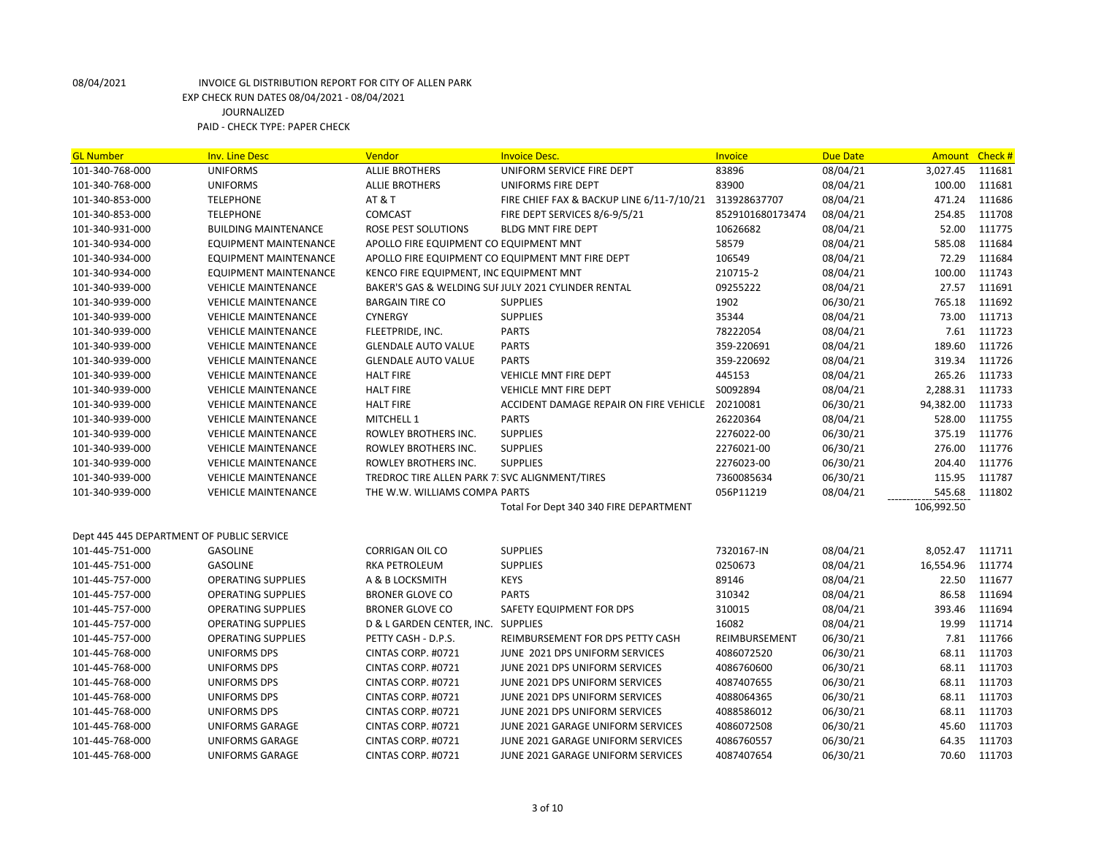| <b>GL Number</b>                          | <b>Inv. Line Desc</b>        | Vendor                                         | <b>Invoice Desc.</b>                                   | <b>Invoice</b>   | <b>Due Date</b> | Amount     | Check # |
|-------------------------------------------|------------------------------|------------------------------------------------|--------------------------------------------------------|------------------|-----------------|------------|---------|
| 101-340-768-000                           | <b>UNIFORMS</b>              | <b>ALLIE BROTHERS</b>                          | UNIFORM SERVICE FIRE DEPT                              | 83896            | 08/04/21        | 3,027.45   | 111681  |
| 101-340-768-000                           | <b>UNIFORMS</b>              | <b>ALLIE BROTHERS</b>                          | UNIFORMS FIRE DEPT                                     | 83900            | 08/04/21        | 100.00     | 111681  |
| 101-340-853-000                           | <b>TELEPHONE</b>             | <b>AT &amp; T</b>                              | FIRE CHIEF FAX & BACKUP LINE 6/11-7/10/21 313928637707 |                  | 08/04/21        | 471.24     | 111686  |
| 101-340-853-000                           | <b>TELEPHONE</b>             | COMCAST                                        | FIRE DEPT SERVICES 8/6-9/5/21                          | 8529101680173474 | 08/04/21        | 254.85     | 111708  |
| 101-340-931-000                           | <b>BUILDING MAINTENANCE</b>  | ROSE PEST SOLUTIONS                            | <b>BLDG MNT FIRE DEPT</b>                              | 10626682         | 08/04/21        | 52.00      | 111775  |
| 101-340-934-000                           | <b>EQUIPMENT MAINTENANCE</b> | APOLLO FIRE EQUIPMENT CO EQUIPMENT MNT         |                                                        | 58579            | 08/04/21        | 585.08     | 111684  |
| 101-340-934-000                           | <b>EQUIPMENT MAINTENANCE</b> |                                                | APOLLO FIRE EQUIPMENT CO EQUIPMENT MNT FIRE DEPT       | 106549           | 08/04/21        | 72.29      | 111684  |
| 101-340-934-000                           | <b>EQUIPMENT MAINTENANCE</b> | KENCO FIRE EQUIPMENT, INC EQUIPMENT MNT        |                                                        | 210715-2         | 08/04/21        | 100.00     | 111743  |
| 101-340-939-000                           | <b>VEHICLE MAINTENANCE</b>   |                                                | BAKER'S GAS & WELDING SUI JULY 2021 CYLINDER RENTAL    | 09255222         | 08/04/21        | 27.57      | 111691  |
| 101-340-939-000                           | <b>VEHICLE MAINTENANCE</b>   | <b>BARGAIN TIRE CO</b>                         | <b>SUPPLIES</b>                                        | 1902             | 06/30/21        | 765.18     | 111692  |
| 101-340-939-000                           | <b>VEHICLE MAINTENANCE</b>   | <b>CYNERGY</b>                                 | <b>SUPPLIES</b>                                        | 35344            | 08/04/21        | 73.00      | 111713  |
| 101-340-939-000                           | <b>VEHICLE MAINTENANCE</b>   | FLEETPRIDE, INC.                               | <b>PARTS</b>                                           | 78222054         | 08/04/21        | 7.61       | 111723  |
| 101-340-939-000                           | <b>VEHICLE MAINTENANCE</b>   | <b>GLENDALE AUTO VALUE</b>                     | <b>PARTS</b>                                           | 359-220691       | 08/04/21        | 189.60     | 111726  |
| 101-340-939-000                           | <b>VEHICLE MAINTENANCE</b>   | <b>GLENDALE AUTO VALUE</b>                     | <b>PARTS</b>                                           | 359-220692       | 08/04/21        | 319.34     | 111726  |
| 101-340-939-000                           | <b>VEHICLE MAINTENANCE</b>   | <b>HALT FIRE</b>                               | VEHICLE MNT FIRE DEPT                                  | 445153           | 08/04/21        | 265.26     | 111733  |
| 101-340-939-000                           | <b>VEHICLE MAINTENANCE</b>   | <b>HALT FIRE</b>                               | VEHICLE MNT FIRE DEPT                                  | S0092894         | 08/04/21        | 2,288.31   | 111733  |
| 101-340-939-000                           | <b>VEHICLE MAINTENANCE</b>   | <b>HALT FIRE</b>                               | ACCIDENT DAMAGE REPAIR ON FIRE VEHICLE 20210081        |                  | 06/30/21        | 94,382.00  | 111733  |
| 101-340-939-000                           | <b>VEHICLE MAINTENANCE</b>   | MITCHELL 1                                     | <b>PARTS</b>                                           | 26220364         | 08/04/21        | 528.00     | 111755  |
| 101-340-939-000                           | <b>VEHICLE MAINTENANCE</b>   | ROWLEY BROTHERS INC.                           | <b>SUPPLIES</b>                                        | 2276022-00       | 06/30/21        | 375.19     | 111776  |
| 101-340-939-000                           | <b>VEHICLE MAINTENANCE</b>   | ROWLEY BROTHERS INC.                           | <b>SUPPLIES</b>                                        | 2276021-00       | 06/30/21        | 276.00     | 111776  |
| 101-340-939-000                           | <b>VEHICLE MAINTENANCE</b>   | ROWLEY BROTHERS INC.                           | <b>SUPPLIES</b>                                        | 2276023-00       | 06/30/21        | 204.40     | 111776  |
| 101-340-939-000                           | <b>VEHICLE MAINTENANCE</b>   | TREDROC TIRE ALLEN PARK 7: SVC ALIGNMENT/TIRES |                                                        | 7360085634       | 06/30/21        | 115.95     | 111787  |
| 101-340-939-000                           | <b>VEHICLE MAINTENANCE</b>   | THE W.W. WILLIAMS COMPA PARTS                  |                                                        | 056P11219        | 08/04/21        | 545.68     | 111802  |
|                                           |                              |                                                | Total For Dept 340 340 FIRE DEPARTMENT                 |                  |                 | 106,992.50 |         |
|                                           |                              |                                                |                                                        |                  |                 |            |         |
| Dept 445 445 DEPARTMENT OF PUBLIC SERVICE |                              |                                                |                                                        |                  |                 |            |         |
| 101-445-751-000                           | <b>GASOLINE</b>              | <b>CORRIGAN OIL CO</b>                         | <b>SUPPLIES</b>                                        | 7320167-IN       | 08/04/21        | 8,052.47   | 111711  |
| 101-445-751-000                           | <b>GASOLINE</b>              | <b>RKA PETROLEUM</b>                           | <b>SUPPLIES</b>                                        | 0250673          | 08/04/21        | 16,554.96  | 111774  |
| 101-445-757-000                           | <b>OPERATING SUPPLIES</b>    | A & B LOCKSMITH                                | <b>KEYS</b>                                            | 89146            | 08/04/21        | 22.50      | 111677  |
| 101-445-757-000                           | <b>OPERATING SUPPLIES</b>    | <b>BRONER GLOVE CO</b>                         | <b>PARTS</b>                                           | 310342           | 08/04/21        | 86.58      | 111694  |
| 101-445-757-000                           | <b>OPERATING SUPPLIES</b>    | <b>BRONER GLOVE CO</b>                         | SAFETY EQUIPMENT FOR DPS                               | 310015           | 08/04/21        | 393.46     | 111694  |
| 101-445-757-000                           | <b>OPERATING SUPPLIES</b>    | D & L GARDEN CENTER, INC. SUPPLIES             |                                                        | 16082            | 08/04/21        | 19.99      | 111714  |
| 101-445-757-000                           | <b>OPERATING SUPPLIES</b>    | PETTY CASH - D.P.S.                            | REIMBURSEMENT FOR DPS PETTY CASH                       | REIMBURSEMENT    | 06/30/21        | 7.81       | 111766  |
| 101-445-768-000                           | <b>UNIFORMS DPS</b>          | CINTAS CORP. #0721                             | JUNE 2021 DPS UNIFORM SERVICES                         | 4086072520       | 06/30/21        | 68.11      | 111703  |
| 101-445-768-000                           | <b>UNIFORMS DPS</b>          | CINTAS CORP. #0721                             | JUNE 2021 DPS UNIFORM SERVICES                         | 4086760600       | 06/30/21        | 68.11      | 111703  |
| 101-445-768-000                           | UNIFORMS DPS                 | CINTAS CORP. #0721                             | JUNE 2021 DPS UNIFORM SERVICES                         | 4087407655       | 06/30/21        | 68.11      | 111703  |
| 101-445-768-000                           | <b>UNIFORMS DPS</b>          | CINTAS CORP. #0721                             | JUNE 2021 DPS UNIFORM SERVICES                         | 4088064365       | 06/30/21        | 68.11      | 111703  |
| 101-445-768-000                           | UNIFORMS DPS                 | CINTAS CORP. #0721                             | JUNE 2021 DPS UNIFORM SERVICES                         | 4088586012       | 06/30/21        | 68.11      | 111703  |
| 101-445-768-000                           | <b>UNIFORMS GARAGE</b>       | CINTAS CORP. #0721                             | JUNE 2021 GARAGE UNIFORM SERVICES                      | 4086072508       | 06/30/21        | 45.60      | 111703  |
| 101-445-768-000                           | UNIFORMS GARAGE              | CINTAS CORP. #0721                             | JUNE 2021 GARAGE UNIFORM SERVICES                      | 4086760557       | 06/30/21        | 64.35      | 111703  |
| 101-445-768-000                           | <b>UNIFORMS GARAGE</b>       | CINTAS CORP. #0721                             | JUNE 2021 GARAGE UNIFORM SERVICES                      | 4087407654       | 06/30/21        | 70.60      | 111703  |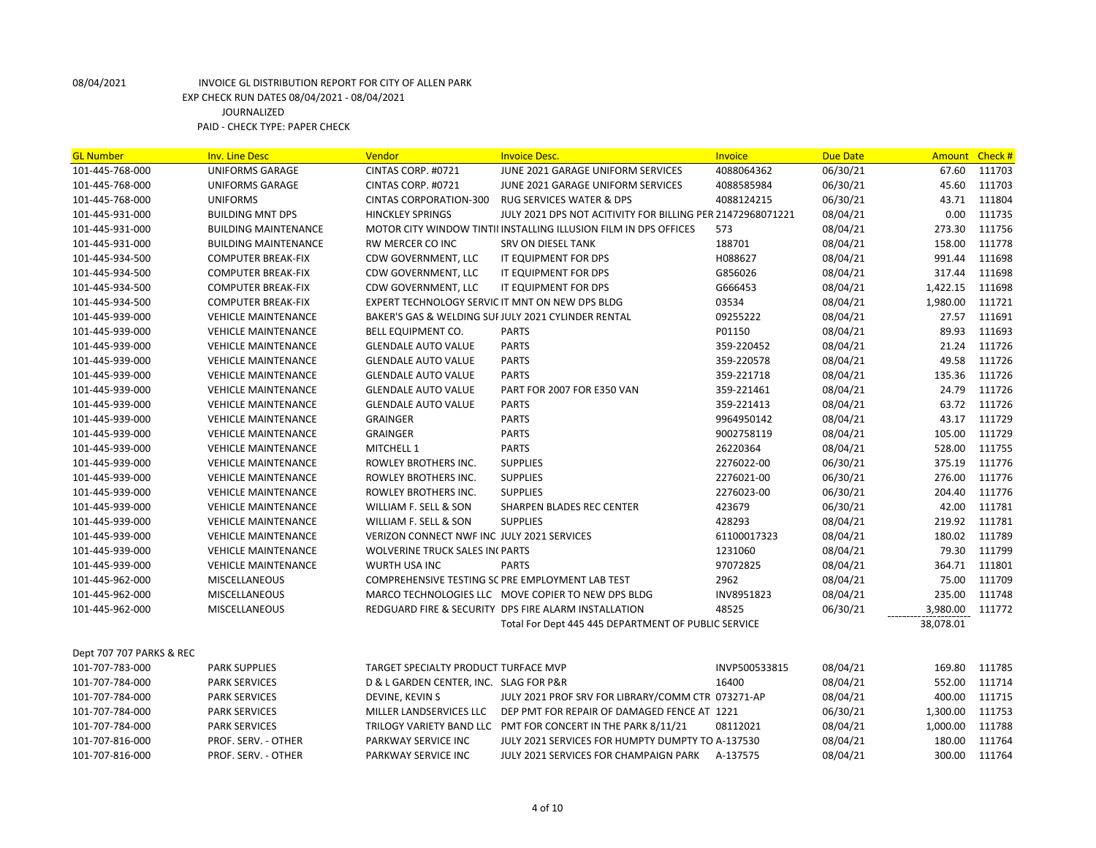| <b>GL Number</b>         | <b>Inv. Line Desc</b>       | Vendor                                          | <b>Invoice Desc.</b>                                                | <b>Invoice</b> | <b>Due Date</b> | Amount Check # |        |
|--------------------------|-----------------------------|-------------------------------------------------|---------------------------------------------------------------------|----------------|-----------------|----------------|--------|
| 101-445-768-000          | UNIFORMS GARAGE             | CINTAS CORP. #0721                              | JUNE 2021 GARAGE UNIFORM SERVICES                                   | 4088064362     | 06/30/21        | 67.60          | 111703 |
| 101-445-768-000          | UNIFORMS GARAGE             | CINTAS CORP. #0721                              | JUNE 2021 GARAGE UNIFORM SERVICES                                   | 4088585984     | 06/30/21        | 45.60          | 111703 |
| 101-445-768-000          | UNIFORMS                    | CINTAS CORPORATION-300                          | <b>RUG SERVICES WATER &amp; DPS</b>                                 | 4088124215     | 06/30/21        | 43.71          | 111804 |
| 101-445-931-000          | <b>BUILDING MNT DPS</b>     | <b>HINCKLEY SPRINGS</b>                         | JULY 2021 DPS NOT ACITIVITY FOR BILLING PER 21472968071221          |                | 08/04/21        | 0.00           | 111735 |
| 101-445-931-000          | BUILDING MAINTENANCE        |                                                 | MOTOR CITY WINDOW TINTII INSTALLING ILLUSION FILM IN DPS OFFICES    | 573            | 08/04/21        | 273.30         | 111756 |
| 101-445-931-000          | <b>BUILDING MAINTENANCE</b> | <b>RW MERCER CO INC</b>                         | <b>SRV ON DIESEL TANK</b>                                           | 188701         | 08/04/21        | 158.00         | 111778 |
| 101-445-934-500          | <b>COMPUTER BREAK-FIX</b>   | CDW GOVERNMENT, LLC                             | IT EQUIPMENT FOR DPS                                                | H088627        | 08/04/21        | 991.44         | 111698 |
| 101-445-934-500          | <b>COMPUTER BREAK-FIX</b>   | CDW GOVERNMENT, LLC                             | IT EQUIPMENT FOR DPS                                                | G856026        | 08/04/21        | 317.44         | 111698 |
| 101-445-934-500          | <b>COMPUTER BREAK-FIX</b>   | CDW GOVERNMENT, LLC                             | IT EQUIPMENT FOR DPS                                                | G666453        | 08/04/21        | 1,422.15       | 111698 |
| 101-445-934-500          | <b>COMPUTER BREAK-FIX</b>   | EXPERT TECHNOLOGY SERVIC IT MNT ON NEW DPS BLDG |                                                                     | 03534          | 08/04/21        | 1,980.00       | 111721 |
| 101-445-939-000          | <b>VEHICLE MAINTENANCE</b>  |                                                 | BAKER'S GAS & WELDING SUI JULY 2021 CYLINDER RENTAL                 | 09255222       | 08/04/21        | 27.57          | 111691 |
| 101-445-939-000          | <b>VEHICLE MAINTENANCE</b>  | <b>BELL EQUIPMENT CO.</b>                       | <b>PARTS</b>                                                        | P01150         | 08/04/21        | 89.93          | 111693 |
| 101-445-939-000          | <b>VEHICLE MAINTENANCE</b>  | <b>GLENDALE AUTO VALUE</b>                      | <b>PARTS</b>                                                        | 359-220452     | 08/04/21        | 21.24          | 111726 |
| 101-445-939-000          | <b>VEHICLE MAINTENANCE</b>  | <b>GLENDALE AUTO VALUE</b>                      | <b>PARTS</b>                                                        | 359-220578     | 08/04/21        | 49.58          | 111726 |
| 101-445-939-000          | <b>VEHICLE MAINTENANCE</b>  | <b>GLENDALE AUTO VALUE</b>                      | <b>PARTS</b>                                                        | 359-221718     | 08/04/21        | 135.36         | 111726 |
| 101-445-939-000          | <b>VEHICLE MAINTENANCE</b>  | <b>GLENDALE AUTO VALUE</b>                      | PART FOR 2007 FOR E350 VAN                                          | 359-221461     | 08/04/21        | 24.79          | 111726 |
| 101-445-939-000          | <b>VEHICLE MAINTENANCE</b>  | <b>GLENDALE AUTO VALUE</b>                      | <b>PARTS</b>                                                        | 359-221413     | 08/04/21        | 63.72          | 111726 |
| 101-445-939-000          | <b>VEHICLE MAINTENANCE</b>  | <b>GRAINGER</b>                                 | <b>PARTS</b>                                                        | 9964950142     | 08/04/21        | 43.17          | 111729 |
| 101-445-939-000          | <b>VEHICLE MAINTENANCE</b>  | <b>GRAINGER</b>                                 | <b>PARTS</b>                                                        | 9002758119     | 08/04/21        | 105.00         | 111729 |
| 101-445-939-000          | <b>VEHICLE MAINTENANCE</b>  | MITCHELL 1                                      | <b>PARTS</b>                                                        | 26220364       | 08/04/21        | 528.00         | 111755 |
| 101-445-939-000          | <b>VEHICLE MAINTENANCE</b>  | ROWLEY BROTHERS INC.                            | <b>SUPPLIES</b>                                                     | 2276022-00     | 06/30/21        | 375.19         | 111776 |
| 101-445-939-000          | <b>VEHICLE MAINTENANCE</b>  | ROWLEY BROTHERS INC.                            | <b>SUPPLIES</b>                                                     | 2276021-00     | 06/30/21        | 276.00         | 111776 |
| 101-445-939-000          | <b>VEHICLE MAINTENANCE</b>  | ROWLEY BROTHERS INC.                            | <b>SUPPLIES</b>                                                     | 2276023-00     | 06/30/21        | 204.40         | 111776 |
| 101-445-939-000          | <b>VEHICLE MAINTENANCE</b>  | WILLIAM F. SELL & SON                           | SHARPEN BLADES REC CENTER                                           | 423679         | 06/30/21        | 42.00          | 111781 |
| 101-445-939-000          | <b>VEHICLE MAINTENANCE</b>  | WILLIAM F. SELL & SON                           | <b>SUPPLIES</b>                                                     | 428293         | 08/04/21        | 219.92         | 111781 |
| 101-445-939-000          | <b>VEHICLE MAINTENANCE</b>  | VERIZON CONNECT NWF INC JULY 2021 SERVICES      |                                                                     | 61100017323    | 08/04/21        | 180.02         | 111789 |
| 101-445-939-000          | <b>VEHICLE MAINTENANCE</b>  | <b>WOLVERINE TRUCK SALES IN PARTS</b>           |                                                                     | 1231060        | 08/04/21        | 79.30          | 111799 |
| 101-445-939-000          | <b>VEHICLE MAINTENANCE</b>  | WURTH USA INC                                   | <b>PARTS</b>                                                        | 97072825       | 08/04/21        | 364.71         | 111801 |
| 101-445-962-000          | <b>MISCELLANEOUS</b>        |                                                 | COMPREHENSIVE TESTING SC PRE EMPLOYMENT LAB TEST                    | 2962           | 08/04/21        | 75.00          | 111709 |
| 101-445-962-000          | <b>MISCELLANEOUS</b>        |                                                 | MARCO TECHNOLOGIES LLC MOVE COPIER TO NEW DPS BLDG                  | INV8951823     | 08/04/21        | 235.00         | 111748 |
| 101-445-962-000          | <b>MISCELLANEOUS</b>        |                                                 | REDGUARD FIRE & SECURITY DPS FIRE ALARM INSTALLATION                | 48525          | 06/30/21        | 3,980.00       | 111772 |
|                          |                             |                                                 | Total For Dept 445 445 DEPARTMENT OF PUBLIC SERVICE                 |                |                 | 38,078.01      |        |
| Dept 707 707 PARKS & REC |                             |                                                 |                                                                     |                |                 |                |        |
| 101-707-783-000          | <b>PARK SUPPLIES</b>        | TARGET SPECIALTY PRODUCT TURFACE MVP            |                                                                     | INVP500533815  | 08/04/21        | 169.80         | 111785 |
| 101-707-784-000          | <b>PARK SERVICES</b>        | D & L GARDEN CENTER, INC. SLAG FOR P&R          |                                                                     | 16400          | 08/04/21        | 552.00         | 111714 |
| 101-707-784-000          | <b>PARK SERVICES</b>        | DEVINE, KEVIN S                                 | JULY 2021 PROF SRV FOR LIBRARY/COMM CTR 073271-AP                   |                | 08/04/21        | 400.00         | 111715 |
| 101-707-784-000          | <b>PARK SERVICES</b>        |                                                 | MILLER LANDSERVICES LLC DEP PMT FOR REPAIR OF DAMAGED FENCE AT 1221 |                | 06/30/21        | 1,300.00       | 111753 |
| 101-707-784-000          | <b>PARK SERVICES</b>        |                                                 | TRILOGY VARIETY BAND LLC PMT FOR CONCERT IN THE PARK 8/11/21        | 08112021       | 08/04/21        | 1,000.00       | 111788 |
| 101-707-816-000          | PROF. SERV. - OTHER         | PARKWAY SERVICE INC                             | JULY 2021 SERVICES FOR HUMPTY DUMPTY TO A-137530                    |                | 08/04/21        | 180.00         | 111764 |
| 101-707-816-000          | PROF. SERV. - OTHER         | PARKWAY SERVICE INC                             | JULY 2021 SERVICES FOR CHAMPAIGN PARK A-137575                      |                | 08/04/21        | 300.00         | 111764 |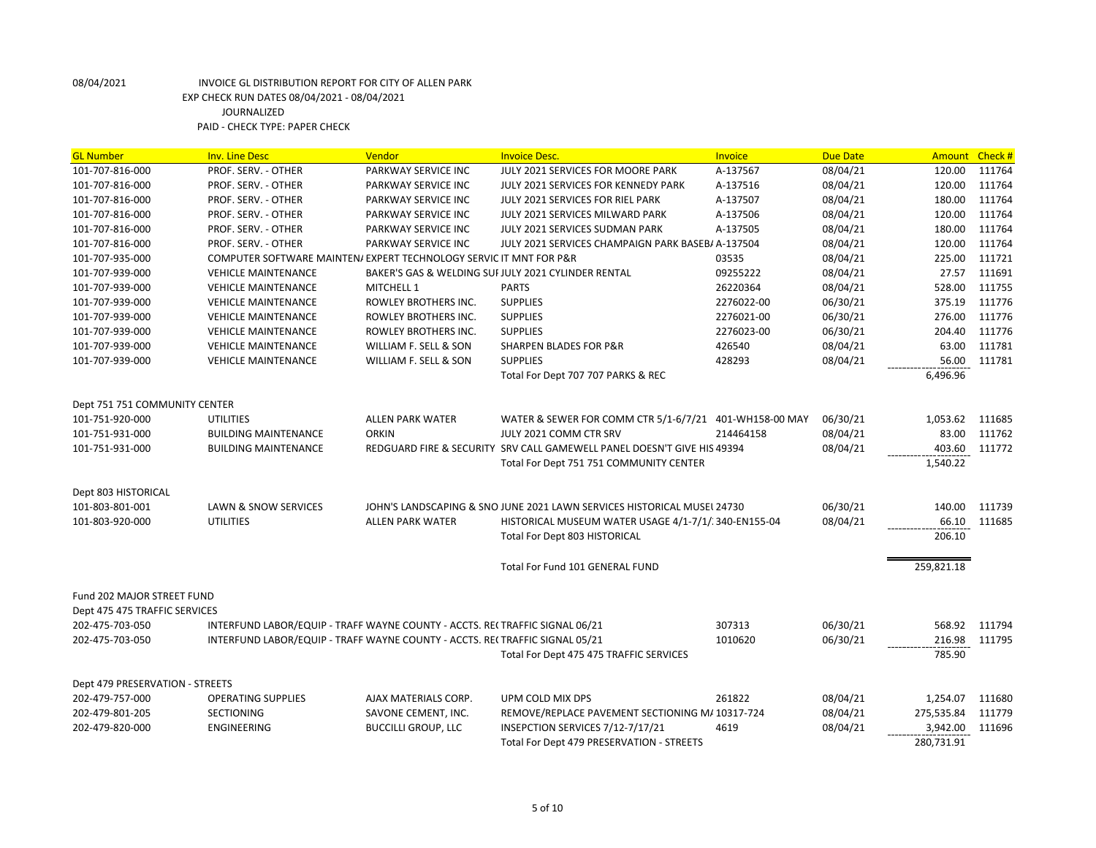| <b>GL Number</b>                | <b>Inv. Line Desc</b>                                                        | Vendor                     | <b>Invoice Desc.</b>                                                    | Invoice    | <b>Due Date</b> | Amount Check #  |        |
|---------------------------------|------------------------------------------------------------------------------|----------------------------|-------------------------------------------------------------------------|------------|-----------------|-----------------|--------|
| 101-707-816-000                 | PROF. SERV. - OTHER                                                          | PARKWAY SERVICE INC        | JULY 2021 SERVICES FOR MOORE PARK                                       | A-137567   | 08/04/21        | 120.00          | 111764 |
| 101-707-816-000                 | PROF. SERV. - OTHER                                                          | PARKWAY SERVICE INC        | JULY 2021 SERVICES FOR KENNEDY PARK                                     | A-137516   | 08/04/21        | 120.00          | 111764 |
| 101-707-816-000                 | PROF. SERV. - OTHER                                                          | PARKWAY SERVICE INC        | JULY 2021 SERVICES FOR RIEL PARK                                        | A-137507   | 08/04/21        | 180.00          | 111764 |
| 101-707-816-000                 | PROF. SERV. - OTHER                                                          | PARKWAY SERVICE INC        | JULY 2021 SERVICES MILWARD PARK                                         | A-137506   | 08/04/21        | 120.00          | 111764 |
| 101-707-816-000                 | PROF. SERV. - OTHER                                                          | PARKWAY SERVICE INC        | JULY 2021 SERVICES SUDMAN PARK                                          | A-137505   | 08/04/21        | 180.00          | 111764 |
| 101-707-816-000                 | PROF. SERV. - OTHER                                                          | PARKWAY SERVICE INC        | JULY 2021 SERVICES CHAMPAIGN PARK BASEBI A-137504                       |            | 08/04/21        | 120.00          | 111764 |
| 101-707-935-000                 | COMPUTER SOFTWARE MAINTEN/ EXPERT TECHNOLOGY SERVIC IT MNT FOR P&R           |                            |                                                                         | 03535      | 08/04/21        | 225.00          | 111721 |
| 101-707-939-000                 | <b>VEHICLE MAINTENANCE</b>                                                   |                            | BAKER'S GAS & WELDING SUI JULY 2021 CYLINDER RENTAL                     | 09255222   | 08/04/21        | 27.57           | 111691 |
| 101-707-939-000                 | <b>VEHICLE MAINTENANCE</b>                                                   | <b>MITCHELL 1</b>          | <b>PARTS</b>                                                            | 26220364   | 08/04/21        | 528.00          | 111755 |
| 101-707-939-000                 | <b>VEHICLE MAINTENANCE</b>                                                   | ROWLEY BROTHERS INC.       | <b>SUPPLIES</b>                                                         | 2276022-00 | 06/30/21        | 375.19          | 111776 |
| 101-707-939-000                 | <b>VEHICLE MAINTENANCE</b>                                                   | ROWLEY BROTHERS INC.       | <b>SUPPLIES</b>                                                         | 2276021-00 | 06/30/21        | 276.00          | 111776 |
| 101-707-939-000                 | <b>VEHICLE MAINTENANCE</b>                                                   | ROWLEY BROTHERS INC.       | <b>SUPPLIES</b>                                                         | 2276023-00 | 06/30/21        | 204.40          | 111776 |
| 101-707-939-000                 | <b>VEHICLE MAINTENANCE</b>                                                   | WILLIAM F. SELL & SON      | <b>SHARPEN BLADES FOR P&amp;R</b>                                       | 426540     | 08/04/21        | 63.00           | 111781 |
| 101-707-939-000                 | <b>VEHICLE MAINTENANCE</b>                                                   | WILLIAM F. SELL & SON      | <b>SUPPLIES</b>                                                         | 428293     | 08/04/21        | 56.00           | 111781 |
|                                 |                                                                              |                            | Total For Dept 707 707 PARKS & REC                                      |            |                 | 6,496.96        |        |
|                                 |                                                                              |                            |                                                                         |            |                 |                 |        |
| Dept 751 751 COMMUNITY CENTER   |                                                                              |                            |                                                                         |            |                 |                 |        |
| 101-751-920-000                 | <b>UTILITIES</b>                                                             | <b>ALLEN PARK WATER</b>    | WATER & SEWER FOR COMM CTR 5/1-6/7/21 401-WH158-00 MAY                  |            | 06/30/21        | 1,053.62 111685 |        |
| 101-751-931-000                 | <b>BUILDING MAINTENANCE</b>                                                  | <b>ORKIN</b>               | JULY 2021 COMM CTR SRV                                                  | 214464158  | 08/04/21        | 83.00           | 111762 |
| 101-751-931-000                 | <b>BUILDING MAINTENANCE</b>                                                  |                            | REDGUARD FIRE & SECURITY SRV CALL GAMEWELL PANEL DOESN'T GIVE HIS 49394 |            | 08/04/21        | 403.60          | 111772 |
|                                 |                                                                              |                            | Total For Dept 751 751 COMMUNITY CENTER                                 |            |                 | 1,540.22        |        |
| Dept 803 HISTORICAL             |                                                                              |                            |                                                                         |            |                 |                 |        |
| 101-803-801-001                 | LAWN & SNOW SERVICES                                                         |                            | JOHN'S LANDSCAPING & SNO JUNE 2021 LAWN SERVICES HISTORICAL MUSEL 24730 |            | 06/30/21        | 140.00          | 111739 |
|                                 | <b>UTILITIES</b>                                                             |                            |                                                                         |            |                 |                 |        |
| 101-803-920-000                 |                                                                              | <b>ALLEN PARK WATER</b>    | HISTORICAL MUSEUM WATER USAGE 4/1-7/1/ 340-EN155-04                     |            | 08/04/21        | 66.10<br>206.10 | 111685 |
|                                 |                                                                              |                            | <b>Total For Dept 803 HISTORICAL</b>                                    |            |                 |                 |        |
|                                 |                                                                              |                            | Total For Fund 101 GENERAL FUND                                         |            |                 | 259,821.18      |        |
|                                 |                                                                              |                            |                                                                         |            |                 |                 |        |
| Fund 202 MAJOR STREET FUND      |                                                                              |                            |                                                                         |            |                 |                 |        |
| Dept 475 475 TRAFFIC SERVICES   |                                                                              |                            |                                                                         |            |                 |                 |        |
| 202-475-703-050                 | INTERFUND LABOR/EQUIP - TRAFF WAYNE COUNTY - ACCTS. REI TRAFFIC SIGNAL 06/21 |                            |                                                                         | 307313     | 06/30/21        | 568.92          | 111794 |
| 202-475-703-050                 | INTERFUND LABOR/EQUIP - TRAFF WAYNE COUNTY - ACCTS. RECTRAFFIC SIGNAL 05/21  |                            |                                                                         | 1010620    | 06/30/21        | 216.98          | 111795 |
|                                 |                                                                              |                            | Total For Dept 475 475 TRAFFIC SERVICES                                 |            |                 | 785.90          |        |
|                                 |                                                                              |                            |                                                                         |            |                 |                 |        |
| Dept 479 PRESERVATION - STREETS |                                                                              |                            |                                                                         |            |                 |                 |        |
| 202-479-757-000                 | <b>OPERATING SUPPLIES</b>                                                    | AJAX MATERIALS CORP.       | UPM COLD MIX DPS                                                        | 261822     | 08/04/21        | 1,254.07        | 111680 |
| 202-479-801-205                 | SECTIONING                                                                   | SAVONE CEMENT, INC.        | REMOVE/REPLACE PAVEMENT SECTIONING M/ 10317-724                         |            | 08/04/21        | 275,535.84      | 111779 |
| 202-479-820-000                 | ENGINEERING                                                                  | <b>BUCCILLI GROUP, LLC</b> | INSEPCTION SERVICES 7/12-7/17/21                                        | 4619       | 08/04/21        | 3,942.00        | 111696 |
|                                 |                                                                              |                            | Total For Dept 479 PRESERVATION - STREETS                               |            |                 | 280,731.91      |        |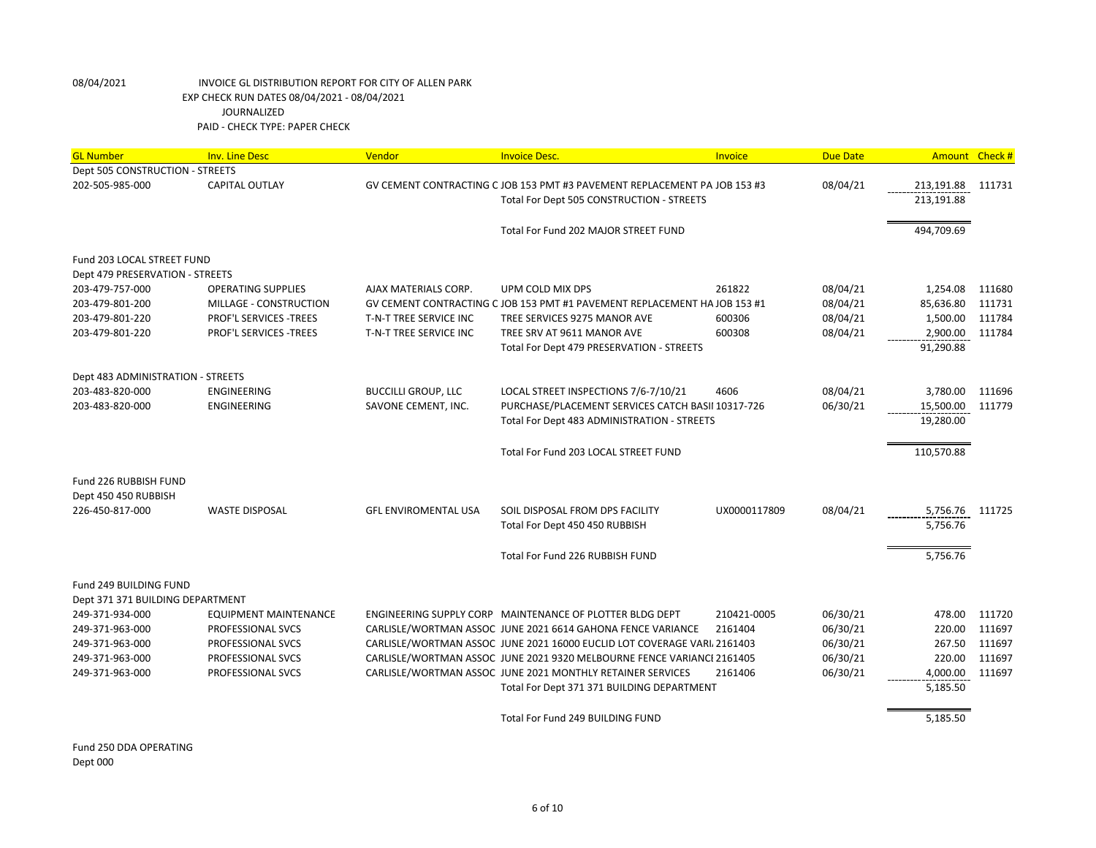| <b>GL Number</b>                  | <b>Inv. Line Desc</b>        | Vendor                      | <b>Invoice Desc.</b>                                                      | Invoice      | <b>Due Date</b> | Amount Check #  |        |
|-----------------------------------|------------------------------|-----------------------------|---------------------------------------------------------------------------|--------------|-----------------|-----------------|--------|
| Dept 505 CONSTRUCTION - STREETS   |                              |                             |                                                                           |              |                 |                 |        |
| 202-505-985-000                   | <b>CAPITAL OUTLAY</b>        |                             | GV CEMENT CONTRACTING C JOB 153 PMT #3 PAVEMENT REPLACEMENT PA JOB 153 #3 |              | 08/04/21        | 213,191.88      | 111731 |
|                                   |                              |                             | Total For Dept 505 CONSTRUCTION - STREETS                                 |              |                 | 213,191.88      |        |
|                                   |                              |                             |                                                                           |              |                 |                 |        |
|                                   |                              |                             | Total For Fund 202 MAJOR STREET FUND                                      |              |                 | 494,709.69      |        |
| Fund 203 LOCAL STREET FUND        |                              |                             |                                                                           |              |                 |                 |        |
| Dept 479 PRESERVATION - STREETS   |                              |                             |                                                                           |              |                 |                 |        |
| 203-479-757-000                   | <b>OPERATING SUPPLIES</b>    | AJAX MATERIALS CORP.        | UPM COLD MIX DPS                                                          | 261822       | 08/04/21        | 1,254.08        | 111680 |
| 203-479-801-200                   | MILLAGE - CONSTRUCTION       |                             | GV CEMENT CONTRACTING C JOB 153 PMT #1 PAVEMENT REPLACEMENT HA JOB 153 #1 |              | 08/04/21        | 85,636.80       | 111731 |
| 203-479-801-220                   | PROF'L SERVICES -TREES       | T-N-T TREE SERVICE INC      | TREE SERVICES 9275 MANOR AVE                                              | 600306       | 08/04/21        | 1,500.00        | 111784 |
| 203-479-801-220                   | PROF'L SERVICES -TREES       | T-N-T TREE SERVICE INC      | TREE SRV AT 9611 MANOR AVE                                                | 600308       | 08/04/21        | 2,900.00        | 111784 |
|                                   |                              |                             | Total For Dept 479 PRESERVATION - STREETS                                 |              |                 | 91,290.88       |        |
| Dept 483 ADMINISTRATION - STREETS |                              |                             |                                                                           |              |                 |                 |        |
| 203-483-820-000                   | ENGINEERING                  | <b>BUCCILLI GROUP, LLC</b>  | LOCAL STREET INSPECTIONS 7/6-7/10/21                                      | 4606         | 08/04/21        | 3,780.00        | 111696 |
| 203-483-820-000                   | ENGINEERING                  | SAVONE CEMENT, INC.         | PURCHASE/PLACEMENT SERVICES CATCH BASII 10317-726                         |              | 06/30/21        | 15,500.00       | 111779 |
|                                   |                              |                             | Total For Dept 483 ADMINISTRATION - STREETS                               |              |                 | 19,280.00       |        |
|                                   |                              |                             |                                                                           |              |                 |                 |        |
|                                   |                              |                             | Total For Fund 203 LOCAL STREET FUND                                      |              |                 | 110,570.88      |        |
| Fund 226 RUBBISH FUND             |                              |                             |                                                                           |              |                 |                 |        |
| Dept 450 450 RUBBISH              |                              |                             |                                                                           |              |                 |                 |        |
| 226-450-817-000                   | <b>WASTE DISPOSAL</b>        | <b>GFL ENVIROMENTAL USA</b> | SOIL DISPOSAL FROM DPS FACILITY                                           | UX0000117809 | 08/04/21        | 5,756.76 111725 |        |
|                                   |                              |                             | Total For Dept 450 450 RUBBISH                                            |              |                 | 5,756.76        |        |
|                                   |                              |                             |                                                                           |              |                 |                 |        |
|                                   |                              |                             | Total For Fund 226 RUBBISH FUND                                           |              |                 | 5,756.76        |        |
| Fund 249 BUILDING FUND            |                              |                             |                                                                           |              |                 |                 |        |
| Dept 371 371 BUILDING DEPARTMENT  |                              |                             |                                                                           |              |                 |                 |        |
| 249-371-934-000                   | <b>EQUIPMENT MAINTENANCE</b> |                             | ENGINEERING SUPPLY CORP MAINTENANCE OF PLOTTER BLDG DEPT                  | 210421-0005  | 06/30/21        | 478.00          | 111720 |
| 249-371-963-000                   | PROFESSIONAL SVCS            |                             | CARLISLE/WORTMAN ASSOC JUNE 2021 6614 GAHONA FENCE VARIANCE               | 2161404      | 06/30/21        | 220.00          | 111697 |
| 249-371-963-000                   | PROFESSIONAL SVCS            |                             | CARLISLE/WORTMAN ASSOC JUNE 2021 16000 EUCLID LOT COVERAGE VARI/ 2161403  |              | 06/30/21        | 267.50          | 111697 |
| 249-371-963-000                   | PROFESSIONAL SVCS            |                             | CARLISLE/WORTMAN ASSOC JUNE 2021 9320 MELBOURNE FENCE VARIANCE 2161405    |              | 06/30/21        | 220.00          | 111697 |
| 249-371-963-000                   | PROFESSIONAL SVCS            |                             | CARLISLE/WORTMAN ASSOC JUNE 2021 MONTHLY RETAINER SERVICES                | 2161406      | 06/30/21        | 4,000.00        | 111697 |
|                                   |                              |                             | Total For Dept 371 371 BUILDING DEPARTMENT                                |              |                 | 5,185.50        |        |
|                                   |                              |                             |                                                                           |              |                 |                 |        |
|                                   |                              |                             | Total For Fund 249 BUILDING FUND                                          |              |                 | 5,185.50        |        |
|                                   |                              |                             |                                                                           |              |                 |                 |        |

Fund 250 DDA OPERATING Dept 000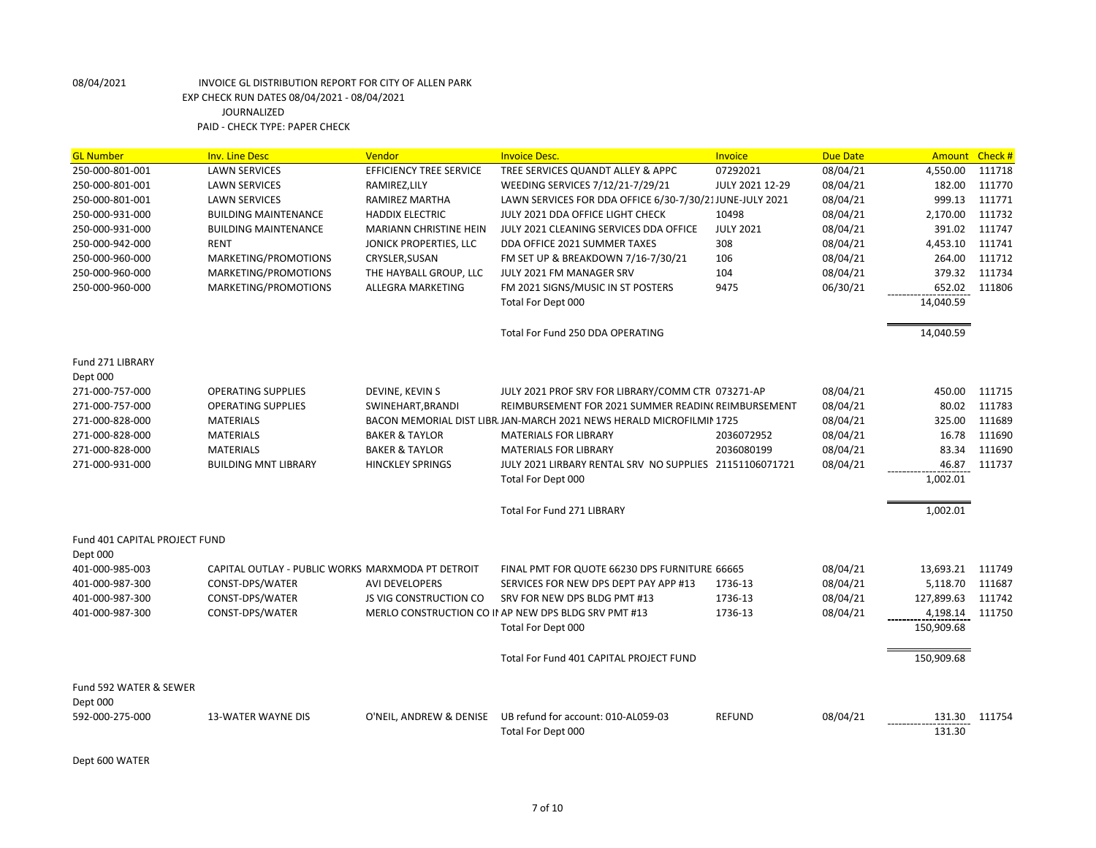| <b>GL Number</b>              | <b>Inv. Line Desc</b>                             | Vendor                         | <b>Invoice Desc.</b>                                                  | <b>Invoice</b>   | <b>Due Date</b> | Amount     | Check# |
|-------------------------------|---------------------------------------------------|--------------------------------|-----------------------------------------------------------------------|------------------|-----------------|------------|--------|
| 250-000-801-001               | <b>LAWN SERVICES</b>                              | <b>EFFICIENCY TREE SERVICE</b> | TREE SERVICES QUANDT ALLEY & APPC                                     | 07292021         | 08/04/21        | 4,550.00   | 111718 |
| 250-000-801-001               | <b>LAWN SERVICES</b>                              | RAMIREZ, LILY                  | WEEDING SERVICES 7/12/21-7/29/21                                      | JULY 2021 12-29  | 08/04/21        | 182.00     | 111770 |
| 250-000-801-001               | <b>LAWN SERVICES</b>                              | <b>RAMIREZ MARTHA</b>          | LAWN SERVICES FOR DDA OFFICE 6/30-7/30/21JUNE-JULY 2021               |                  | 08/04/21        | 999.13     | 111771 |
| 250-000-931-000               | <b>BUILDING MAINTENANCE</b>                       | <b>HADDIX ELECTRIC</b>         | JULY 2021 DDA OFFICE LIGHT CHECK                                      | 10498            | 08/04/21        | 2,170.00   | 111732 |
| 250-000-931-000               | <b>BUILDING MAINTENANCE</b>                       | <b>MARIANN CHRISTINE HEIN</b>  | JULY 2021 CLEANING SERVICES DDA OFFICE                                | <b>JULY 2021</b> | 08/04/21        | 391.02     | 111747 |
| 250-000-942-000               | <b>RENT</b>                                       | JONICK PROPERTIES, LLC         | DDA OFFICE 2021 SUMMER TAXES                                          | 308              | 08/04/21        | 4,453.10   | 111741 |
| 250-000-960-000               | MARKETING/PROMOTIONS                              | CRYSLER, SUSAN                 | FM SET UP & BREAKDOWN 7/16-7/30/21                                    | 106              | 08/04/21        | 264.00     | 111712 |
| 250-000-960-000               | MARKETING/PROMOTIONS                              | THE HAYBALL GROUP, LLC         | JULY 2021 FM MANAGER SRV                                              | 104              | 08/04/21        | 379.32     | 111734 |
| 250-000-960-000               | MARKETING/PROMOTIONS                              | ALLEGRA MARKETING              | FM 2021 SIGNS/MUSIC IN ST POSTERS                                     | 9475             | 06/30/21        | 652.02     | 111806 |
|                               |                                                   |                                | Total For Dept 000                                                    |                  |                 | 14,040.59  |        |
|                               |                                                   |                                | Total For Fund 250 DDA OPERATING                                      |                  |                 | 14,040.59  |        |
| Fund 271 LIBRARY<br>Dept 000  |                                                   |                                |                                                                       |                  |                 |            |        |
| 271-000-757-000               | <b>OPERATING SUPPLIES</b>                         | DEVINE, KEVIN S                | JULY 2021 PROF SRV FOR LIBRARY/COMM CTR 073271-AP                     |                  | 08/04/21        | 450.00     | 111715 |
| 271-000-757-000               | <b>OPERATING SUPPLIES</b>                         | SWINEHART, BRANDI              | REIMBURSEMENT FOR 2021 SUMMER READIN(REIMBURSEMENT                    |                  | 08/04/21        | 80.02      | 111783 |
| 271-000-828-000               | <b>MATERIALS</b>                                  |                                | BACON MEMORIAL DIST LIBR. JAN-MARCH 2021 NEWS HERALD MICROFILMIN 1725 |                  | 08/04/21        | 325.00     | 111689 |
| 271-000-828-000               | <b>MATERIALS</b>                                  | <b>BAKER &amp; TAYLOR</b>      | <b>MATERIALS FOR LIBRARY</b>                                          | 2036072952       | 08/04/21        | 16.78      | 111690 |
| 271-000-828-000               | <b>MATERIALS</b>                                  | <b>BAKER &amp; TAYLOR</b>      | <b>MATERIALS FOR LIBRARY</b>                                          | 2036080199       | 08/04/21        | 83.34      | 111690 |
| 271-000-931-000               | <b>BUILDING MNT LIBRARY</b>                       | <b>HINCKLEY SPRINGS</b>        | JULY 2021 LIRBARY RENTAL SRV NO SUPPLIES 21151106071721               |                  | 08/04/21        | 46.87      | 111737 |
|                               |                                                   |                                | Total For Dept 000                                                    |                  |                 | 1,002.01   |        |
|                               |                                                   |                                |                                                                       |                  |                 |            |        |
|                               |                                                   |                                | <b>Total For Fund 271 LIBRARY</b>                                     |                  |                 | 1,002.01   |        |
| Fund 401 CAPITAL PROJECT FUND |                                                   |                                |                                                                       |                  |                 |            |        |
| Dept 000                      |                                                   |                                |                                                                       |                  |                 |            |        |
| 401-000-985-003               | CAPITAL OUTLAY - PUBLIC WORKS MARXMODA PT DETROIT |                                | FINAL PMT FOR QUOTE 66230 DPS FURNITURE 66665                         |                  | 08/04/21        | 13,693.21  | 111749 |
| 401-000-987-300               | CONST-DPS/WATER                                   | <b>AVI DEVELOPERS</b>          | SERVICES FOR NEW DPS DEPT PAY APP #13                                 | 1736-13          | 08/04/21        | 5,118.70   | 111687 |
| 401-000-987-300               | CONST-DPS/WATER                                   | JS VIG CONSTRUCTION CO         | SRV FOR NEW DPS BLDG PMT #13                                          | 1736-13          | 08/04/21        | 127,899.63 | 111742 |
| 401-000-987-300               | CONST-DPS/WATER                                   |                                | MERLO CONSTRUCTION CO II AP NEW DPS BLDG SRV PMT #13                  | 1736-13          | 08/04/21        | 4,198.14   | 111750 |
|                               |                                                   |                                | Total For Dept 000                                                    |                  |                 | 150,909.68 |        |
|                               |                                                   |                                | Total For Fund 401 CAPITAL PROJECT FUND                               |                  |                 | 150,909.68 |        |
| Fund 592 WATER & SEWER        |                                                   |                                |                                                                       |                  |                 |            |        |
| Dept 000                      |                                                   |                                |                                                                       |                  |                 |            |        |
| 592-000-275-000               | <b>13-WATER WAYNE DIS</b>                         | O'NEIL, ANDREW & DENISE        | UB refund for account: 010-AL059-03                                   | <b>REFUND</b>    | 08/04/21        | 131.30     | 111754 |
|                               |                                                   |                                | Total For Dept 000                                                    |                  |                 | 131.30     |        |
|                               |                                                   |                                |                                                                       |                  |                 |            |        |

Dept 600 WATER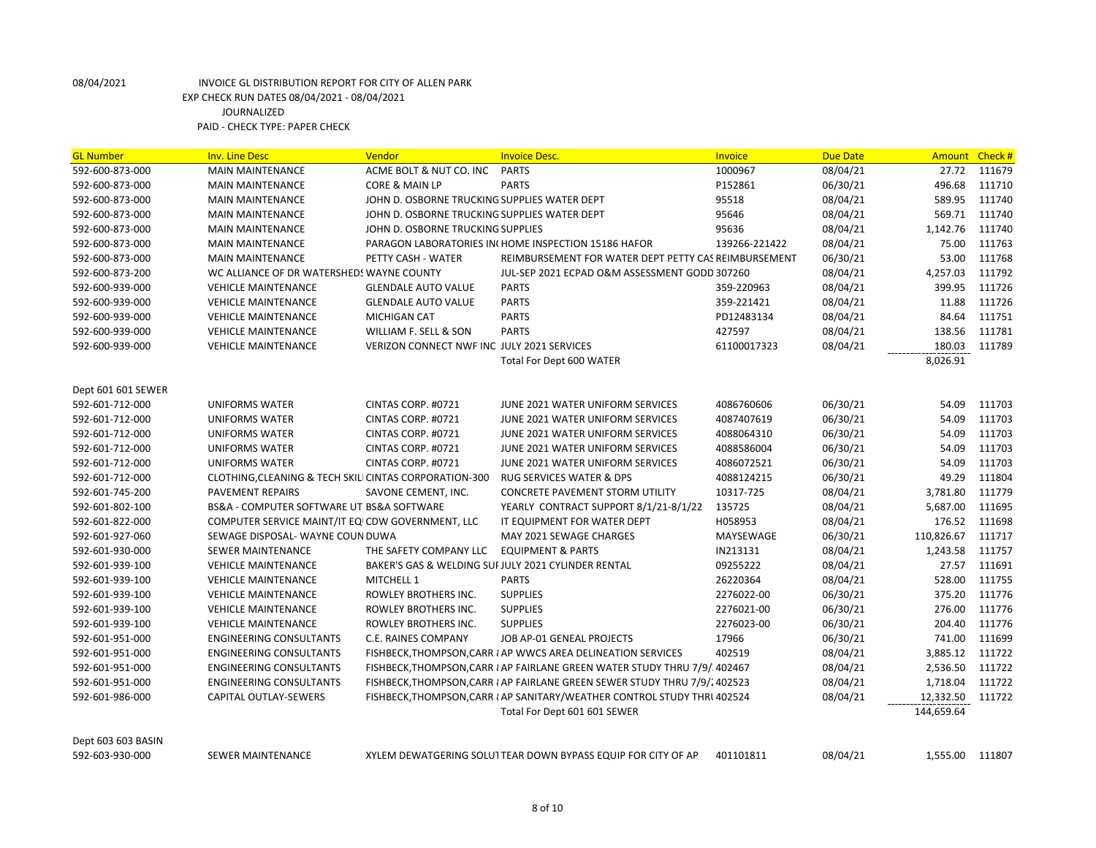| <b>GL Number</b>   | <b>Inv. Line Desc</b>                                  | Vendor                                       | <b>Invoice Desc.</b>                                                       | Invoice       | Due Date | Amount Check #   |        |
|--------------------|--------------------------------------------------------|----------------------------------------------|----------------------------------------------------------------------------|---------------|----------|------------------|--------|
| 592-600-873-000    | <b>MAIN MAINTENANCE</b>                                | ACME BOLT & NUT CO. INC                      | <b>PARTS</b>                                                               | 1000967       | 08/04/21 | 27.72            | 111679 |
| 592-600-873-000    | <b>MAIN MAINTENANCE</b>                                | CORE & MAIN LP                               | <b>PARTS</b>                                                               | P152861       | 06/30/21 | 496.68           | 111710 |
| 592-600-873-000    | <b>MAIN MAINTENANCE</b>                                | JOHN D. OSBORNE TRUCKING SUPPLIES WATER DEPT |                                                                            | 95518         | 08/04/21 | 589.95           | 111740 |
| 592-600-873-000    | <b>MAIN MAINTENANCE</b>                                | JOHN D. OSBORNE TRUCKING SUPPLIES WATER DEPT |                                                                            | 95646         | 08/04/21 | 569.71           | 111740 |
| 592-600-873-000    | <b>MAIN MAINTENANCE</b>                                | JOHN D. OSBORNE TRUCKING SUPPLIES            |                                                                            | 95636         | 08/04/21 | 1,142.76         | 111740 |
| 592-600-873-000    | <b>MAIN MAINTENANCE</b>                                |                                              | PARAGON LABORATORIES IN HOME INSPECTION 15186 HAFOR                        | 139266-221422 | 08/04/21 | 75.00            | 111763 |
| 592-600-873-000    | <b>MAIN MAINTENANCE</b>                                | PETTY CASH - WATER                           | REIMBURSEMENT FOR WATER DEPT PETTY CAS REIMBURSEMENT                       |               | 06/30/21 | 53.00            | 111768 |
| 592-600-873-200    | WC ALLIANCE OF DR WATERSHEDS WAYNE COUNTY              |                                              | JUL-SEP 2021 ECPAD O&M ASSESSMENT GODD 307260                              |               | 08/04/21 | 4,257.03         | 111792 |
| 592-600-939-000    | <b>VEHICLE MAINTENANCE</b>                             | <b>GLENDALE AUTO VALUE</b>                   | <b>PARTS</b>                                                               | 359-220963    | 08/04/21 | 399.95           | 111726 |
| 592-600-939-000    | <b>VEHICLE MAINTENANCE</b>                             | <b>GLENDALE AUTO VALUE</b>                   | <b>PARTS</b>                                                               | 359-221421    | 08/04/21 | 11.88            | 111726 |
| 592-600-939-000    | <b>VEHICLE MAINTENANCE</b>                             | <b>MICHIGAN CAT</b>                          | <b>PARTS</b>                                                               | PD12483134    | 08/04/21 | 84.64            | 111751 |
| 592-600-939-000    | <b>VEHICLE MAINTENANCE</b>                             | WILLIAM F. SELL & SON                        | <b>PARTS</b>                                                               | 427597        | 08/04/21 | 138.56           | 111781 |
| 592-600-939-000    | <b>VEHICLE MAINTENANCE</b>                             | VERIZON CONNECT NWF INC JULY 2021 SERVICES   |                                                                            | 61100017323   | 08/04/21 | 180.03           | 111789 |
|                    |                                                        |                                              | Total For Dept 600 WATER                                                   |               |          | 8,026.91         |        |
|                    |                                                        |                                              |                                                                            |               |          |                  |        |
| Dept 601 601 SEWER |                                                        |                                              |                                                                            |               |          |                  |        |
| 592-601-712-000    | <b>UNIFORMS WATER</b>                                  | CINTAS CORP. #0721                           | JUNE 2021 WATER UNIFORM SERVICES                                           | 4086760606    | 06/30/21 | 54.09            | 111703 |
| 592-601-712-000    | <b>UNIFORMS WATER</b>                                  | CINTAS CORP. #0721                           | JUNE 2021 WATER UNIFORM SERVICES                                           | 4087407619    | 06/30/21 | 54.09            | 111703 |
| 592-601-712-000    | <b>UNIFORMS WATER</b>                                  | CINTAS CORP. #0721                           | JUNE 2021 WATER UNIFORM SERVICES                                           | 4088064310    | 06/30/21 | 54.09            | 111703 |
| 592-601-712-000    | <b>UNIFORMS WATER</b>                                  | CINTAS CORP. #0721                           | JUNE 2021 WATER UNIFORM SERVICES                                           | 4088586004    | 06/30/21 | 54.09            | 111703 |
| 592-601-712-000    | <b>UNIFORMS WATER</b>                                  | CINTAS CORP. #0721                           | JUNE 2021 WATER UNIFORM SERVICES                                           | 4086072521    | 06/30/21 | 54.09            | 111703 |
| 592-601-712-000    | CLOTHING, CLEANING & TECH SKILI CINTAS CORPORATION-300 |                                              | <b>RUG SERVICES WATER &amp; DPS</b>                                        | 4088124215    | 06/30/21 | 49.29            | 111804 |
| 592-601-745-200    | PAVEMENT REPAIRS                                       | SAVONE CEMENT, INC.                          | CONCRETE PAVEMENT STORM UTILITY                                            | 10317-725     | 08/04/21 | 3,781.80         | 111779 |
| 592-601-802-100    | BS&A - COMPUTER SOFTWARE UT BS&A SOFTWARE              |                                              | YEARLY CONTRACT SUPPORT 8/1/21-8/1/22                                      | 135725        | 08/04/21 | 5,687.00         | 111695 |
| 592-601-822-000    | COMPUTER SERVICE MAINT/IT EQICDW GOVERNMENT, LLC       |                                              | IT EQUIPMENT FOR WATER DEPT                                                | H058953       | 08/04/21 | 176.52           | 111698 |
| 592-601-927-060    | SEWAGE DISPOSAL-WAYNE COUN DUWA                        |                                              | MAY 2021 SEWAGE CHARGES                                                    | MAYSEWAGE     | 06/30/21 | 110,826.67       | 111717 |
| 592-601-930-000    | <b>SEWER MAINTENANCE</b>                               | THE SAFETY COMPANY LLC                       | <b>EQUIPMENT &amp; PARTS</b>                                               | IN213131      | 08/04/21 | 1,243.58         | 111757 |
| 592-601-939-100    | <b>VEHICLE MAINTENANCE</b>                             |                                              | BAKER'S GAS & WELDING SUI JULY 2021 CYLINDER RENTAL                        | 09255222      | 08/04/21 | 27.57            | 111691 |
| 592-601-939-100    | <b>VEHICLE MAINTENANCE</b>                             | MITCHELL 1                                   | <b>PARTS</b>                                                               | 26220364      | 08/04/21 | 528.00           | 111755 |
| 592-601-939-100    | <b>VEHICLE MAINTENANCE</b>                             | ROWLEY BROTHERS INC.                         | <b>SUPPLIES</b>                                                            | 2276022-00    | 06/30/21 | 375.20           | 111776 |
| 592-601-939-100    | <b>VEHICLE MAINTENANCE</b>                             | ROWLEY BROTHERS INC.                         | <b>SUPPLIES</b>                                                            | 2276021-00    | 06/30/21 | 276.00           | 111776 |
| 592-601-939-100    | <b>VEHICLE MAINTENANCE</b>                             | ROWLEY BROTHERS INC.                         | <b>SUPPLIES</b>                                                            | 2276023-00    | 06/30/21 | 204.40           | 111776 |
| 592-601-951-000    | <b>ENGINEERING CONSULTANTS</b>                         | C.E. RAINES COMPANY                          | JOB AP-01 GENEAL PROJECTS                                                  | 17966         | 06/30/21 | 741.00           | 111699 |
| 592-601-951-000    | <b>ENGINEERING CONSULTANTS</b>                         |                                              | FISHBECK, THOMPSON, CARR I AP WWCS AREA DELINEATION SERVICES               | 402519        | 08/04/21 | 3,885.12         | 111722 |
| 592-601-951-000    | <b>ENGINEERING CONSULTANTS</b>                         |                                              | FISHBECK, THOMPSON, CARR & AP FAIRLANE GREEN WATER STUDY THRU 7/9/. 402467 |               | 08/04/21 | 2,536.50         | 111722 |
| 592-601-951-000    | <b>ENGINEERING CONSULTANTS</b>                         |                                              | FISHBECK, THOMPSON, CARR & AP FAIRLANE GREEN SEWER STUDY THRU 7/9/2 402523 |               | 08/04/21 | 1,718.04         | 111722 |
| 592-601-986-000    | CAPITAL OUTLAY-SEWERS                                  |                                              | FISHBECK, THOMPSON, CARR I AP SANITARY/WEATHER CONTROL STUDY THRI 402524   |               | 08/04/21 | 12,332.50 111722 |        |
|                    |                                                        |                                              | Total For Dept 601 601 SEWER                                               |               |          | 144,659.64       |        |
|                    |                                                        |                                              |                                                                            |               |          |                  |        |
| Dept 603 603 BASIN |                                                        |                                              |                                                                            |               |          |                  |        |

592-603-930-000 SEWER MAINTENANCE XYLEM DEWATGERING SOLUITEAR DOWN BYPASS EQUIP FOR CITY OF AP 401101811 08/04/21 1,555.00 111807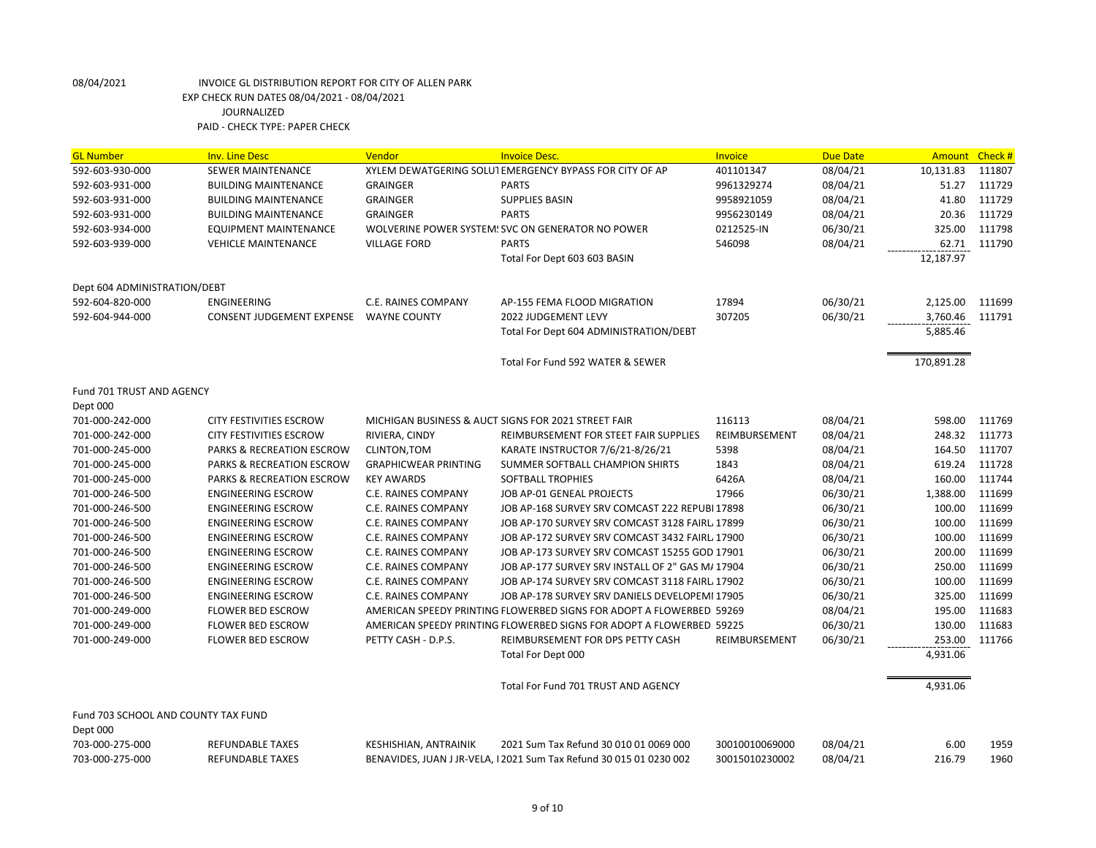| <b>GL Number</b>                    | <b>Inv. Line Desc</b>                              | Vendor                      | <b>Invoice Desc.</b>                                                 | Invoice                          | <b>Due Date</b>      | Amount Check # |              |
|-------------------------------------|----------------------------------------------------|-----------------------------|----------------------------------------------------------------------|----------------------------------|----------------------|----------------|--------------|
| 592-603-930-000                     | <b>SEWER MAINTENANCE</b>                           |                             | XYLEM DEWATGERING SOLUTEMERGENCY BYPASS FOR CITY OF AP               | 401101347                        | 08/04/21             | 10,131.83      | 111807       |
| 592-603-931-000                     | <b>BUILDING MAINTENANCE</b>                        | <b>GRAINGER</b>             | <b>PARTS</b>                                                         | 9961329274                       | 08/04/21             | 51.27          | 111729       |
| 592-603-931-000                     | <b>BUILDING MAINTENANCE</b>                        | <b>GRAINGER</b>             | <b>SUPPLIES BASIN</b>                                                | 9958921059                       | 08/04/21             | 41.80          | 111729       |
| 592-603-931-000                     | <b>BUILDING MAINTENANCE</b>                        | <b>GRAINGER</b>             | <b>PARTS</b>                                                         | 9956230149                       | 08/04/21             | 20.36          | 111729       |
| 592-603-934-000                     | <b>EQUIPMENT MAINTENANCE</b>                       |                             | WOLVERINE POWER SYSTEM: SVC ON GENERATOR NO POWER                    | 0212525-IN                       | 06/30/21             | 325.00         | 111798       |
| 592-603-939-000                     | <b>VEHICLE MAINTENANCE</b>                         | <b>VILLAGE FORD</b>         | <b>PARTS</b>                                                         | 546098                           | 08/04/21             | 62.71          | 111790       |
|                                     |                                                    |                             | Total For Dept 603 603 BASIN                                         |                                  |                      | 12,187.97      |              |
| Dept 604 ADMINISTRATION/DEBT        |                                                    |                             |                                                                      |                                  |                      |                |              |
| 592-604-820-000                     | ENGINEERING                                        | C.E. RAINES COMPANY         | AP-155 FEMA FLOOD MIGRATION                                          | 17894                            | 06/30/21             | 2,125.00       | 111699       |
| 592-604-944-000                     | CONSENT JUDGEMENT EXPENSE                          | <b>WAYNE COUNTY</b>         | 2022 JUDGEMENT LEVY                                                  | 307205                           | 06/30/21             | 3,760.46       | 111791       |
|                                     |                                                    |                             | Total For Dept 604 ADMINISTRATION/DEBT                               |                                  |                      | 5,885.46       |              |
|                                     |                                                    |                             | Total For Fund 592 WATER & SEWER                                     |                                  |                      | 170,891.28     |              |
| Fund 701 TRUST AND AGENCY           |                                                    |                             |                                                                      |                                  |                      |                |              |
| Dept 000                            |                                                    |                             |                                                                      |                                  |                      |                |              |
| 701-000-242-000                     | <b>CITY FESTIVITIES ESCROW</b>                     |                             | MICHIGAN BUSINESS & AUCT SIGNS FOR 2021 STREET FAIR                  | 116113                           | 08/04/21             | 598.00         | 111769       |
| 701-000-242-000                     | <b>CITY FESTIVITIES ESCROW</b>                     | RIVIERA, CINDY              | REIMBURSEMENT FOR STEET FAIR SUPPLIES                                | REIMBURSEMENT                    | 08/04/21             | 248.32         | 111773       |
| 701-000-245-000                     | <b>PARKS &amp; RECREATION ESCROW</b>               | CLINTON, TOM                | KARATE INSTRUCTOR 7/6/21-8/26/21                                     | 5398                             | 08/04/21             | 164.50         | 111707       |
| 701-000-245-000                     | <b>PARKS &amp; RECREATION ESCROW</b>               | <b>GRAPHICWEAR PRINTING</b> | SUMMER SOFTBALL CHAMPION SHIRTS                                      | 1843                             | 08/04/21             | 619.24         | 111728       |
| 701-000-245-000                     | PARKS & RECREATION ESCROW                          | <b>KEY AWARDS</b>           | <b>SOFTBALL TROPHIES</b>                                             | 6426A                            | 08/04/21             | 160.00         | 111744       |
| 701-000-246-500                     | <b>ENGINEERING ESCROW</b>                          | C.E. RAINES COMPANY         | JOB AP-01 GENEAL PROJECTS                                            | 17966                            | 06/30/21             | 1,388.00       | 111699       |
| 701-000-246-500                     | <b>ENGINEERING ESCROW</b>                          | C.E. RAINES COMPANY         | JOB AP-168 SURVEY SRV COMCAST 222 REPUBI 17898                       |                                  | 06/30/21             | 100.00         | 111699       |
| 701-000-246-500                     | <b>ENGINEERING ESCROW</b>                          | C.E. RAINES COMPANY         | JOB AP-170 SURVEY SRV COMCAST 3128 FAIRL 17899                       |                                  | 06/30/21             | 100.00         | 111699       |
| 701-000-246-500                     | <b>ENGINEERING ESCROW</b>                          | C.E. RAINES COMPANY         | JOB AP-172 SURVEY SRV COMCAST 3432 FAIRL 17900                       |                                  | 06/30/21             | 100.00         | 111699       |
| 701-000-246-500                     | <b>ENGINEERING ESCROW</b>                          | C.E. RAINES COMPANY         | JOB AP-173 SURVEY SRV COMCAST 15255 GOD 17901                        |                                  | 06/30/21             | 200.00         | 111699       |
| 701-000-246-500                     | <b>ENGINEERING ESCROW</b>                          | C.E. RAINES COMPANY         | JOB AP-177 SURVEY SRV INSTALL OF 2" GAS M/ 17904                     |                                  | 06/30/21             | 250.00         | 111699       |
| 701-000-246-500                     | <b>ENGINEERING ESCROW</b>                          | C.E. RAINES COMPANY         | JOB AP-174 SURVEY SRV COMCAST 3118 FAIRL 17902                       |                                  | 06/30/21             | 100.00         | 111699       |
| 701-000-246-500                     | <b>ENGINEERING ESCROW</b>                          | C.E. RAINES COMPANY         | JOB AP-178 SURVEY SRV DANIELS DEVELOPEMI 17905                       |                                  | 06/30/21             | 325.00         | 111699       |
| 701-000-249-000                     | <b>FLOWER BED ESCROW</b>                           |                             | AMERICAN SPEEDY PRINTING FLOWERBED SIGNS FOR ADOPT A FLOWERBED 59269 |                                  | 08/04/21             | 195.00         | 111683       |
| 701-000-249-000                     | <b>FLOWER BED ESCROW</b>                           |                             | AMERICAN SPEEDY PRINTING FLOWERBED SIGNS FOR ADOPT A FLOWERBED 59225 |                                  | 06/30/21             | 130.00         | 111683       |
| 701-000-249-000                     | <b>FLOWER BED ESCROW</b>                           | PETTY CASH - D.P.S.         | REIMBURSEMENT FOR DPS PETTY CASH                                     | REIMBURSEMENT                    | 06/30/21             | 253.00         | 111766       |
|                                     |                                                    |                             | Total For Dept 000                                                   |                                  |                      | 4,931.06       |              |
|                                     |                                                    |                             | Total For Fund 701 TRUST AND AGENCY                                  |                                  |                      | 4,931.06       |              |
| Fund 703 SCHOOL AND COUNTY TAX FUND |                                                    |                             |                                                                      |                                  |                      |                |              |
| Dept 000<br>703-000-275-000         |                                                    |                             | 2021 Sum Tax Refund 30 010 01 0069 000                               |                                  |                      |                |              |
| 703-000-275-000                     | <b>REFUNDABLE TAXES</b><br><b>REFUNDABLE TAXES</b> | KESHISHIAN, ANTRAINIK       | BENAVIDES, JUAN J JR-VELA, I 2021 Sum Tax Refund 30 015 01 0230 002  | 30010010069000<br>30015010230002 | 08/04/21<br>08/04/21 | 6.00<br>216.79 | 1959<br>1960 |